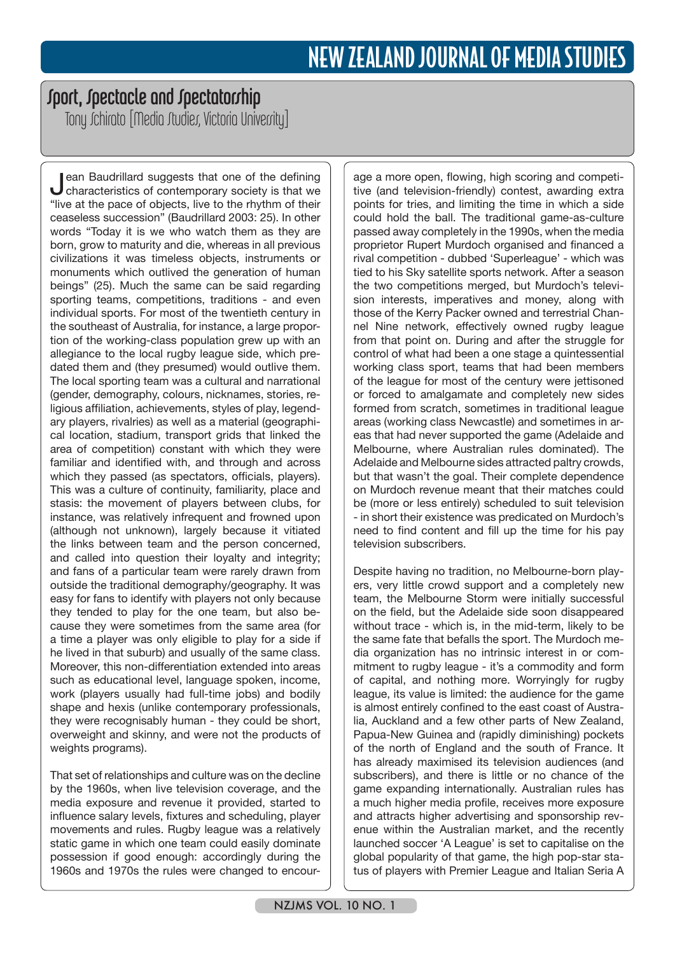## Sport, Spectacle and Spectatorship

Tony Jchirato [Media Jtudies, Victoria University]

Jean Baudrillard suggests that one of the defining characteristics of contemporary society is that we "live at the pace of objects, live to the rhythm of their ceaseless succession" (Baudrillard 2003: 25). In other words "Today it is we who watch them as they are born, grow to maturity and die, whereas in all previous civilizations it was timeless objects, instruments or monuments which outlived the generation of human beings" (25). Much the same can be said regarding sporting teams, competitions, traditions - and even individual sports. For most of the twentieth century in the southeast of Australia, for instance, a large proportion of the working-class population grew up with an allegiance to the local rugby league side, which predated them and (they presumed) would outlive them. The local sporting team was a cultural and narrational (gender, demography, colours, nicknames, stories, religious affiliation, achievements, styles of play, legendary players, rivalries) as well as a material (geographical location, stadium, transport grids that linked the area of competition) constant with which they were familiar and identified with, and through and across which they passed (as spectators, officials, players). This was a culture of continuity, familiarity, place and stasis: the movement of players between clubs, for instance, was relatively infrequent and frowned upon (although not unknown), largely because it vitiated the links between team and the person concerned, and called into question their loyalty and integrity; and fans of a particular team were rarely drawn from outside the traditional demography/geography. It was easy for fans to identify with players not only because they tended to play for the one team, but also because they were sometimes from the same area (for a time a player was only eligible to play for a side if he lived in that suburb) and usually of the same class. Moreover, this non-differentiation extended into areas such as educational level, language spoken, income, work (players usually had full-time jobs) and bodily shape and hexis (unlike contemporary professionals, they were recognisably human - they could be short, overweight and skinny, and were not the products of weights programs).

That set of relationships and culture was on the decline by the 1960s, when live television coverage, and the media exposure and revenue it provided, started to influence salary levels, fixtures and scheduling, player movements and rules. Rugby league was a relatively static game in which one team could easily dominate possession if good enough: accordingly during the 1960s and 1970s the rules were changed to encour-

age a more open, flowing, high scoring and competitive (and television-friendly) contest, awarding extra points for tries, and limiting the time in which a side could hold the ball. The traditional game-as-culture passed away completely in the 1990s, when the media proprietor Rupert Murdoch organised and financed a rival competition - dubbed 'Superleague' - which was tied to his Sky satellite sports network. After a season the two competitions merged, but Murdoch's television interests, imperatives and money, along with those of the Kerry Packer owned and terrestrial Channel Nine network, effectively owned rugby league from that point on. During and after the struggle for control of what had been a one stage a quintessential working class sport, teams that had been members of the league for most of the century were jettisoned or forced to amalgamate and completely new sides formed from scratch, sometimes in traditional league areas (working class Newcastle) and sometimes in areas that had never supported the game (Adelaide and Melbourne, where Australian rules dominated). The Adelaide and Melbourne sides attracted paltry crowds, but that wasn't the goal. Their complete dependence on Murdoch revenue meant that their matches could be (more or less entirely) scheduled to suit television - in short their existence was predicated on Murdoch's need to find content and fill up the time for his pay television subscribers.

Despite having no tradition, no Melbourne-born players, very little crowd support and a completely new team, the Melbourne Storm were initially successful on the field, but the Adelaide side soon disappeared without trace - which is, in the mid-term, likely to be the same fate that befalls the sport. The Murdoch media organization has no intrinsic interest in or commitment to rugby league - it's a commodity and form of capital, and nothing more. Worryingly for rugby league, its value is limited: the audience for the game is almost entirely confined to the east coast of Australia, Auckland and a few other parts of New Zealand, Papua-New Guinea and (rapidly diminishing) pockets of the north of England and the south of France. It has already maximised its television audiences (and subscribers), and there is little or no chance of the game expanding internationally. Australian rules has a much higher media profile, receives more exposure and attracts higher advertising and sponsorship revenue within the Australian market, and the recently launched soccer 'A League' is set to capitalise on the global popularity of that game, the high pop-star status of players with Premier League and Italian Seria A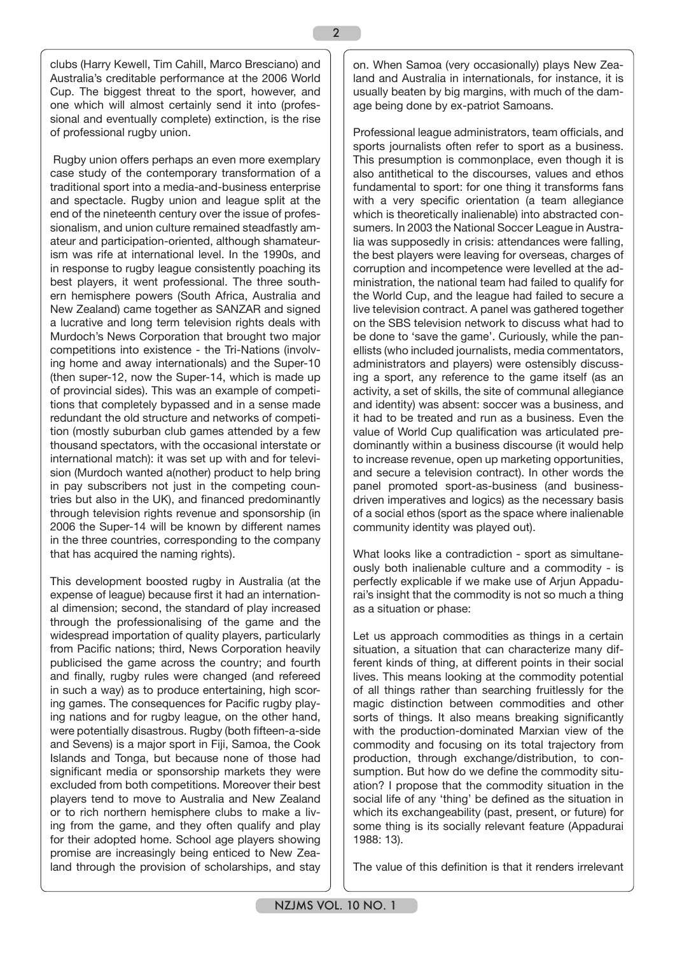clubs (Harry Kewell, Tim Cahill, Marco Bresciano) and Australia's creditable performance at the 2006 World Cup. The biggest threat to the sport, however, and one which will almost certainly send it into (professional and eventually complete) extinction, is the rise of professional rugby union.

 Rugby union offers perhaps an even more exemplary case study of the contemporary transformation of a traditional sport into a media-and-business enterprise and spectacle. Rugby union and league split at the end of the nineteenth century over the issue of professionalism, and union culture remained steadfastly amateur and participation-oriented, although shamateurism was rife at international level. In the 1990s, and in response to rugby league consistently poaching its best players, it went professional. The three southern hemisphere powers (South Africa, Australia and New Zealand) came together as SANZAR and signed a lucrative and long term television rights deals with Murdoch's News Corporation that brought two major competitions into existence - the Tri-Nations (involving home and away internationals) and the Super-10 (then super-12, now the Super-14, which is made up of provincial sides). This was an example of competitions that completely bypassed and in a sense made redundant the old structure and networks of competition (mostly suburban club games attended by a few thousand spectators, with the occasional interstate or international match): it was set up with and for television (Murdoch wanted a(nother) product to help bring in pay subscribers not just in the competing countries but also in the UK), and financed predominantly through television rights revenue and sponsorship (in 2006 the Super-14 will be known by different names in the three countries, corresponding to the company that has acquired the naming rights).

This development boosted rugby in Australia (at the expense of league) because first it had an international dimension; second, the standard of play increased through the professionalising of the game and the widespread importation of quality players, particularly from Pacific nations; third, News Corporation heavily publicised the game across the country; and fourth and finally, rugby rules were changed (and refereed in such a way) as to produce entertaining, high scoring games. The consequences for Pacific rugby playing nations and for rugby league, on the other hand, were potentially disastrous. Rugby (both fifteen-a-side and Sevens) is a major sport in Fiji, Samoa, the Cook Islands and Tonga, but because none of those had significant media or sponsorship markets they were excluded from both competitions. Moreover their best players tend to move to Australia and New Zealand or to rich northern hemisphere clubs to make a living from the game, and they often qualify and play for their adopted home. School age players showing promise are increasingly being enticed to New Zealand through the provision of scholarships, and stay

on. When Samoa (very occasionally) plays New Zealand and Australia in internationals, for instance, it is usually beaten by big margins, with much of the damage being done by ex-patriot Samoans.

Professional league administrators, team officials, and sports journalists often refer to sport as a business. This presumption is commonplace, even though it is also antithetical to the discourses, values and ethos fundamental to sport: for one thing it transforms fans with a very specific orientation (a team allegiance which is theoretically inalienable) into abstracted consumers. In 2003 the National Soccer League in Australia was supposedly in crisis: attendances were falling, the best players were leaving for overseas, charges of corruption and incompetence were levelled at the administration, the national team had failed to qualify for the World Cup, and the league had failed to secure a live television contract. A panel was gathered together on the SBS television network to discuss what had to be done to 'save the game'. Curiously, while the panellists (who included journalists, media commentators, administrators and players) were ostensibly discussing a sport, any reference to the game itself (as an activity, a set of skills, the site of communal allegiance and identity) was absent: soccer was a business, and it had to be treated and run as a business. Even the value of World Cup qualification was articulated predominantly within a business discourse (it would help to increase revenue, open up marketing opportunities, and secure a television contract). In other words the panel promoted sport-as-business (and businessdriven imperatives and logics) as the necessary basis of a social ethos (sport as the space where inalienable community identity was played out).

What looks like a contradiction - sport as simultaneously both inalienable culture and a commodity - is perfectly explicable if we make use of Arjun Appadurai's insight that the commodity is not so much a thing as a situation or phase:

Let us approach commodities as things in a certain situation, a situation that can characterize many different kinds of thing, at different points in their social lives. This means looking at the commodity potential of all things rather than searching fruitlessly for the magic distinction between commodities and other sorts of things. It also means breaking significantly with the production-dominated Marxian view of the commodity and focusing on its total trajectory from production, through exchange/distribution, to consumption. But how do we define the commodity situation? I propose that the commodity situation in the social life of any 'thing' be defined as the situation in which its exchangeability (past, present, or future) for some thing is its socially relevant feature (Appadurai 1988: 13).

The value of this definition is that it renders irrelevant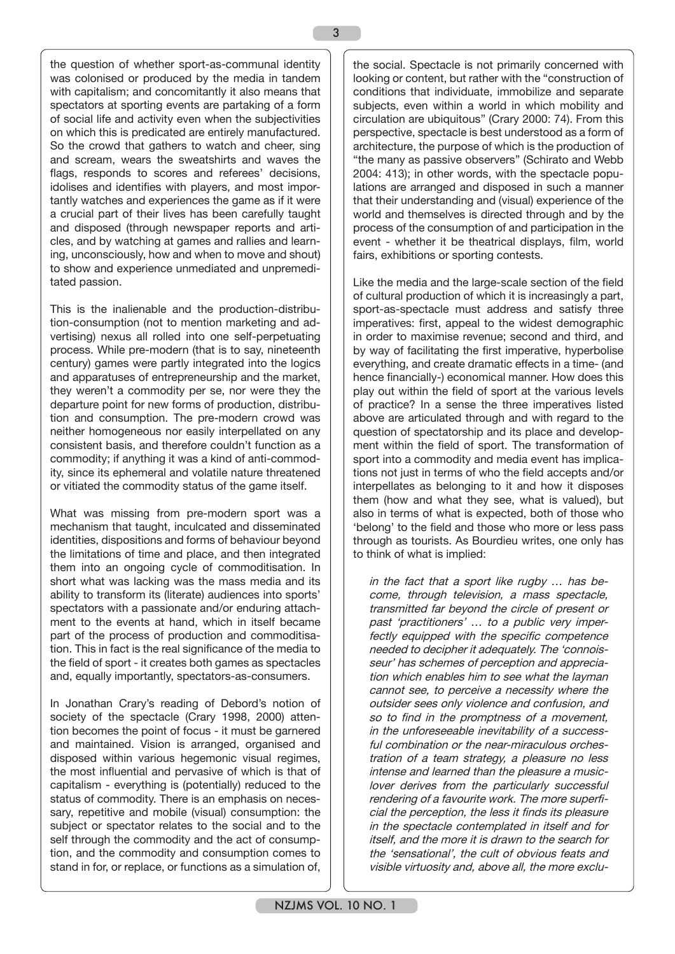the question of whether sport-as-communal identity was colonised or produced by the media in tandem with capitalism; and concomitantly it also means that spectators at sporting events are partaking of a form of social life and activity even when the subjectivities on which this is predicated are entirely manufactured. So the crowd that gathers to watch and cheer, sing and scream, wears the sweatshirts and waves the flags, responds to scores and referees' decisions, idolises and identifies with players, and most importantly watches and experiences the game as if it were a crucial part of their lives has been carefully taught and disposed (through newspaper reports and articles, and by watching at games and rallies and learning, unconsciously, how and when to move and shout) to show and experience unmediated and unpremeditated passion.

This is the inalienable and the production-distribution-consumption (not to mention marketing and advertising) nexus all rolled into one self-perpetuating process. While pre-modern (that is to say, nineteenth century) games were partly integrated into the logics and apparatuses of entrepreneurship and the market, they weren't a commodity per se, nor were they the departure point for new forms of production, distribution and consumption. The pre-modern crowd was neither homogeneous nor easily interpellated on any consistent basis, and therefore couldn't function as a commodity; if anything it was a kind of anti-commodity, since its ephemeral and volatile nature threatened or vitiated the commodity status of the game itself.

What was missing from pre-modern sport was a mechanism that taught, inculcated and disseminated identities, dispositions and forms of behaviour beyond the limitations of time and place, and then integrated them into an ongoing cycle of commoditisation. In short what was lacking was the mass media and its ability to transform its (literate) audiences into sports' spectators with a passionate and/or enduring attachment to the events at hand, which in itself became part of the process of production and commoditisation. This in fact is the real significance of the media to the field of sport - it creates both games as spectacles and, equally importantly, spectators-as-consumers.

In Jonathan Crary's reading of Debord's notion of society of the spectacle (Crary 1998, 2000) attention becomes the point of focus - it must be garnered and maintained. Vision is arranged, organised and disposed within various hegemonic visual regimes, the most influential and pervasive of which is that of capitalism - everything is (potentially) reduced to the status of commodity. There is an emphasis on necessary, repetitive and mobile (visual) consumption: the subject or spectator relates to the social and to the self through the commodity and the act of consumption, and the commodity and consumption comes to stand in for, or replace, or functions as a simulation of,

the social. Spectacle is not primarily concerned with looking or content, but rather with the "construction of conditions that individuate, immobilize and separate subjects, even within a world in which mobility and circulation are ubiquitous" (Crary 2000: 74). From this perspective, spectacle is best understood as a form of architecture, the purpose of which is the production of "the many as passive observers" (Schirato and Webb 2004: 413); in other words, with the spectacle populations are arranged and disposed in such a manner that their understanding and (visual) experience of the world and themselves is directed through and by the process of the consumption of and participation in the event - whether it be theatrical displays, film, world fairs, exhibitions or sporting contests.

Like the media and the large-scale section of the field of cultural production of which it is increasingly a part, sport-as-spectacle must address and satisfy three imperatives: first, appeal to the widest demographic in order to maximise revenue; second and third, and by way of facilitating the first imperative, hyperbolise everything, and create dramatic effects in a time- (and hence financially-) economical manner. How does this play out within the field of sport at the various levels of practice? In a sense the three imperatives listed above are articulated through and with regard to the question of spectatorship and its place and development within the field of sport. The transformation of sport into a commodity and media event has implications not just in terms of who the field accepts and/or interpellates as belonging to it and how it disposes them (how and what they see, what is valued), but also in terms of what is expected, both of those who 'belong' to the field and those who more or less pass through as tourists. As Bourdieu writes, one only has to think of what is implied:

in the fact that a sport like rugby … has become, through television, a mass spectacle, transmitted far beyond the circle of present or past 'practitioners' … to a public very imperfectly equipped with the specific competence needed to decipher it adequately. The 'connoisseur' has schemes of perception and appreciation which enables him to see what the layman cannot see, to perceive a necessity where the outsider sees only violence and confusion, and so to find in the promptness of a movement, in the unforeseeable inevitability of a successful combination or the near-miraculous orchestration of a team strategy, a pleasure no less intense and learned than the pleasure a musiclover derives from the particularly successful rendering of a favourite work. The more superficial the perception, the less it finds its pleasure in the spectacle contemplated in itself and for itself, and the more it is drawn to the search for the 'sensational', the cult of obvious feats and visible virtuosity and, above all, the more exclu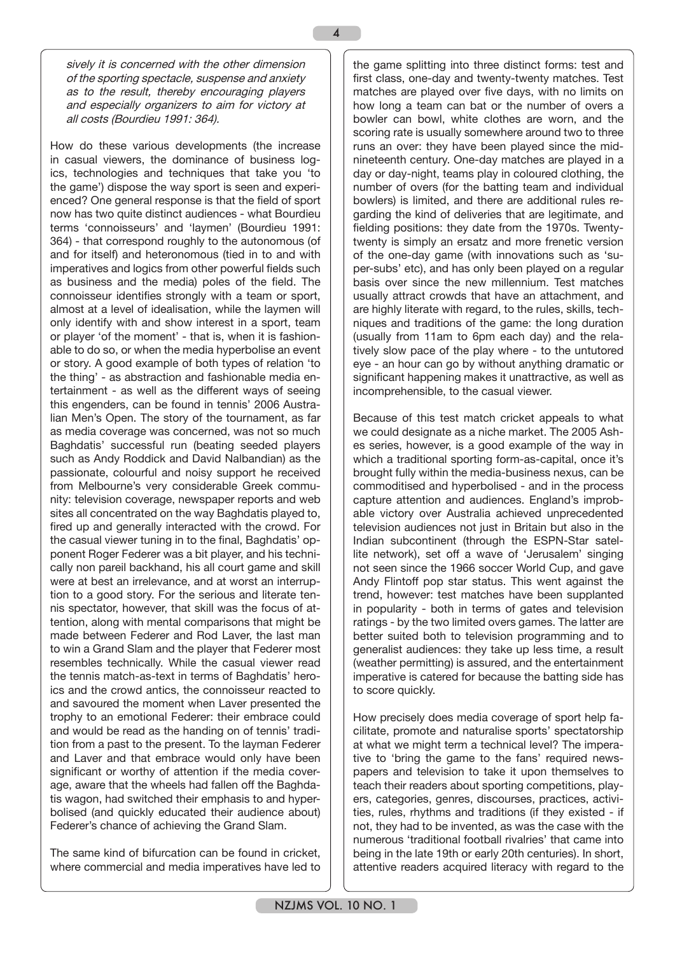sively it is concerned with the other dimension of the sporting spectacle, suspense and anxiety as to the result, thereby encouraging players and especially organizers to aim for victory at all costs (Bourdieu 1991: 364).

4

How do these various developments (the increase in casual viewers, the dominance of business logics, technologies and techniques that take you 'to the game') dispose the way sport is seen and experienced? One general response is that the field of sport now has two quite distinct audiences - what Bourdieu terms 'connoisseurs' and 'laymen' (Bourdieu 1991: 364) - that correspond roughly to the autonomous (of and for itself) and heteronomous (tied in to and with imperatives and logics from other powerful fields such as business and the media) poles of the field. The connoisseur identifies strongly with a team or sport, almost at a level of idealisation, while the laymen will only identify with and show interest in a sport, team or player 'of the moment' - that is, when it is fashionable to do so, or when the media hyperbolise an event or story. A good example of both types of relation 'to the thing' - as abstraction and fashionable media entertainment - as well as the different ways of seeing this engenders, can be found in tennis' 2006 Australian Men's Open. The story of the tournament, as far as media coverage was concerned, was not so much Baghdatis' successful run (beating seeded players such as Andy Roddick and David Nalbandian) as the passionate, colourful and noisy support he received from Melbourne's very considerable Greek community: television coverage, newspaper reports and web sites all concentrated on the way Baghdatis played to, fired up and generally interacted with the crowd. For the casual viewer tuning in to the final, Baghdatis' opponent Roger Federer was a bit player, and his technically non pareil backhand, his all court game and skill were at best an irrelevance, and at worst an interruption to a good story. For the serious and literate tennis spectator, however, that skill was the focus of attention, along with mental comparisons that might be made between Federer and Rod Laver, the last man to win a Grand Slam and the player that Federer most resembles technically. While the casual viewer read the tennis match-as-text in terms of Baghdatis' heroics and the crowd antics, the connoisseur reacted to and savoured the moment when Laver presented the trophy to an emotional Federer: their embrace could and would be read as the handing on of tennis' tradition from a past to the present. To the layman Federer and Laver and that embrace would only have been significant or worthy of attention if the media coverage, aware that the wheels had fallen off the Baghdatis wagon, had switched their emphasis to and hyperbolised (and quickly educated their audience about) Federer's chance of achieving the Grand Slam.

The same kind of bifurcation can be found in cricket, where commercial and media imperatives have led to the game splitting into three distinct forms: test and first class, one-day and twenty-twenty matches. Test matches are played over five days, with no limits on how long a team can bat or the number of overs a bowler can bowl, white clothes are worn, and the scoring rate is usually somewhere around two to three runs an over: they have been played since the midnineteenth century. One-day matches are played in a day or day-night, teams play in coloured clothing, the number of overs (for the batting team and individual bowlers) is limited, and there are additional rules regarding the kind of deliveries that are legitimate, and fielding positions: they date from the 1970s. Twentytwenty is simply an ersatz and more frenetic version of the one-day game (with innovations such as 'super-subs' etc), and has only been played on a regular basis over since the new millennium. Test matches usually attract crowds that have an attachment, and are highly literate with regard, to the rules, skills, techniques and traditions of the game: the long duration (usually from 11am to 6pm each day) and the relatively slow pace of the play where - to the untutored eye - an hour can go by without anything dramatic or significant happening makes it unattractive, as well as incomprehensible, to the casual viewer.

Because of this test match cricket appeals to what we could designate as a niche market. The 2005 Ashes series, however, is a good example of the way in which a traditional sporting form-as-capital, once it's brought fully within the media-business nexus, can be commoditised and hyperbolised - and in the process capture attention and audiences. England's improbable victory over Australia achieved unprecedented television audiences not just in Britain but also in the Indian subcontinent (through the ESPN-Star satellite network), set off a wave of 'Jerusalem' singing not seen since the 1966 soccer World Cup, and gave Andy Flintoff pop star status. This went against the trend, however: test matches have been supplanted in popularity - both in terms of gates and television ratings - by the two limited overs games. The latter are better suited both to television programming and to generalist audiences: they take up less time, a result (weather permitting) is assured, and the entertainment imperative is catered for because the batting side has to score quickly.

How precisely does media coverage of sport help facilitate, promote and naturalise sports' spectatorship at what we might term a technical level? The imperative to 'bring the game to the fans' required newspapers and television to take it upon themselves to teach their readers about sporting competitions, players, categories, genres, discourses, practices, activities, rules, rhythms and traditions (if they existed - if not, they had to be invented, as was the case with the numerous 'traditional football rivalries' that came into being in the late 19th or early 20th centuries). In short, attentive readers acquired literacy with regard to the